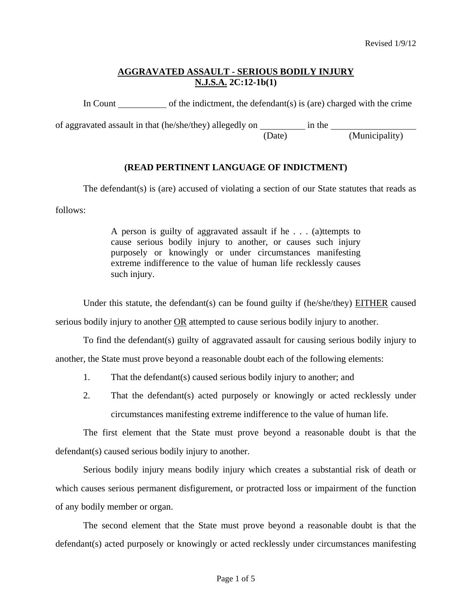# **AGGRAVATED ASSAULT - SERIOUS BODILY INJURY N.J.S.A. 2C:12-1b(1)**

In Count of the indictment, the defendant(s) is (are) charged with the crime

of aggravated assault in that (he/she/they) allegedly on \_\_\_\_\_\_\_\_\_\_\_ in the (Date) (Municipality)

## **(READ PERTINENT LANGUAGE OF INDICTMENT)**

 The defendant(s) is (are) accused of violating a section of our State statutes that reads as follows:

> A person is guilty of aggravated assault if he . . . (a)ttempts to cause serious bodily injury to another, or causes such injury purposely or knowingly or under circumstances manifesting extreme indifference to the value of human life recklessly causes such injury.

Under this statute, the defendant(s) can be found guilty if (he/she/they) EITHER caused

serious bodily injury to another OR attempted to cause serious bodily injury to another.

 To find the defendant(s) guilty of aggravated assault for causing serious bodily injury to another, the State must prove beyond a reasonable doubt each of the following elements:

- 1. That the defendant(s) caused serious bodily injury to another; and
- 2. That the defendant(s) acted purposely or knowingly or acted recklessly under circumstances manifesting extreme indifference to the value of human life.

 The first element that the State must prove beyond a reasonable doubt is that the defendant(s) caused serious bodily injury to another.

<span id="page-0-0"></span> Serious bodily injury means bodily injury which creates a substantial risk of death or which causes serious permanent disfigurement, or protracted loss or impairment of the function of any bodily member or organ.

 The second element that the State must prove beyond a reasonable doubt is that the defendant(s) acted purposely or knowingly or acted recklessly under circumstances manifesting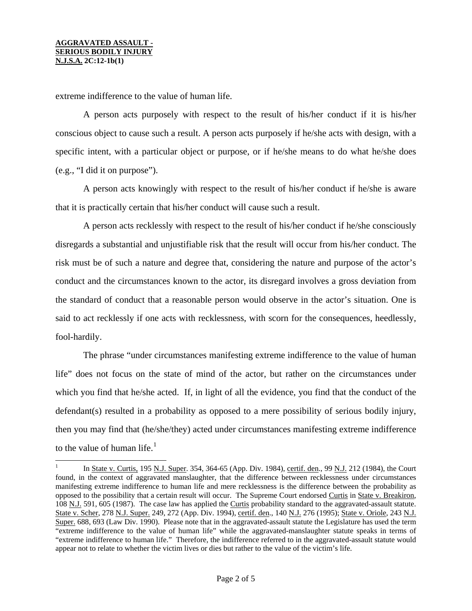$\overline{a}$ 

extreme indifference to the value of human life.

 A person acts purposely with respect to the result of his/her conduct if it is his/her conscious object to cause such a result. A person acts purposely if he/she acts with design, with a specific intent, with a particular object or purpose, or if he/she means to do what he/she does (e.g., "I did it on purpose").

 A person acts knowingly with respect to the result of his/her conduct if he/she is aware that it is practically certain that his/her conduct will cause such a result.

 A person acts recklessly with respect to the result of his/her conduct if he/she consciously disregards a substantial and unjustifiable risk that the result will occur from his/her conduct. The risk must be of such a nature and degree that, considering the nature and purpose of the actor's conduct and the circumstances known to the actor, its disregard involves a gross deviation from the standard of conduct that a reasonable person would observe in the actor's situation. One is said to act recklessly if one acts with recklessness, with scorn for the consequences, heedlessly, fool-hardily.

 The phrase "under circumstances manifesting extreme indifference to the value of human life" does not focus on the state of mind of the actor, but rather on the circumstances under which you find that he/she acted. If, in light of all the evidence, you find that the conduct of the defendant(s) resulted in a probability as opposed to a mere possibility of serious bodily injury, then you may find that (he/she/they) acted under circumstances manifesting extreme indifference to the value of human life.<sup>[1](#page-0-0)</sup>

<span id="page-1-0"></span><sup>1</sup> In State v. Curtis, 195 N.J. Super. 354, 364-65 (App. Div. 1984), certif. den., 99 N.J. 212 (1984), the Court found, in the context of aggravated manslaughter, that the difference between recklessness under circumstances manifesting extreme indifference to human life and mere recklessness is the difference between the probability as opposed to the possibility that a certain result will occur. The Supreme Court endorsed Curtis in State v. Breakiron, 108 N.J. 591, 605 (1987). The case law has applied the Curtis probability standard to the aggravated-assault statute. State v. Scher, 278 N.J. Super. 249, 272 (App. Div. 1994), certif. den., 140 N.J. 276 (1995); State v. Oriole, 243 N.J. Super. 688, 693 (Law Div. 1990). Please note that in the aggravated-assault statute the Legislature has used the term "extreme indifference to the value of human life" while the aggravated-manslaughter statute speaks in terms of "extreme indifference to human life." Therefore, the indifference referred to in the aggravated-assault statute would appear not to relate to whether the victim lives or dies but rather to the value of the victim's life.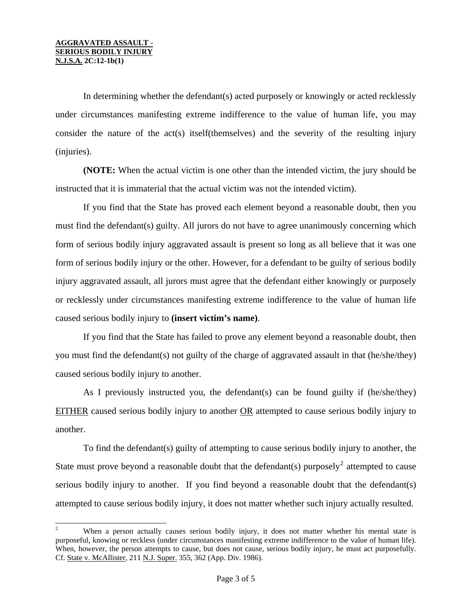In determining whether the defendant(s) acted purposely or knowingly or acted recklessly under circumstances manifesting extreme indifference to the value of human life, you may consider the nature of the act(s) itself(themselves) and the severity of the resulting injury (injuries).

**(NOTE:** When the actual victim is one other than the intended victim, the jury should be instructed that it is immaterial that the actual victim was not the intended victim).

 If you find that the State has proved each element beyond a reasonable doubt, then you must find the defendant(s) guilty. All jurors do not have to agree unanimously concerning which form of serious bodily injury aggravated assault is present so long as all believe that it was one form of serious bodily injury or the other. However, for a defendant to be guilty of serious bodily injury aggravated assault, all jurors must agree that the defendant either knowingly or purposely or recklessly under circumstances manifesting extreme indifference to the value of human life caused serious bodily injury to **(insert victim's name)**.

 If you find that the State has failed to prove any element beyond a reasonable doubt, then you must find the defendant(s) not guilty of the charge of aggravated assault in that (he/she/they) caused serious bodily injury to another.

 As I previously instructed you, the defendant(s) can be found guilty if (he/she/they) EITHER caused serious bodily injury to another OR attempted to cause serious bodily injury to another.

 To find the defendant(s) guilty of attempting to cause serious bodily injury to another, the State must prove beyond a reasonable doubt that the defendant(s) purposely<sup>[2](#page-1-0)</sup> attempted to cause serious bodily injury to another. If you find beyond a reasonable doubt that the defendant(s) attempted to cause serious bodily injury, it does not matter whether such injury actually resulted.

<span id="page-2-0"></span> $\frac{1}{2}$  When a person actually causes serious bodily injury, it does not matter whether his mental state is purposeful, knowing or reckless (under circumstances manifesting extreme indifference to the value of human life). When, however, the person attempts to cause, but does not cause, serious bodily injury, he must act purposefully. Cf. State v. McAllister, 211 N.J. Super. 355, 362 (App. Div. 1986).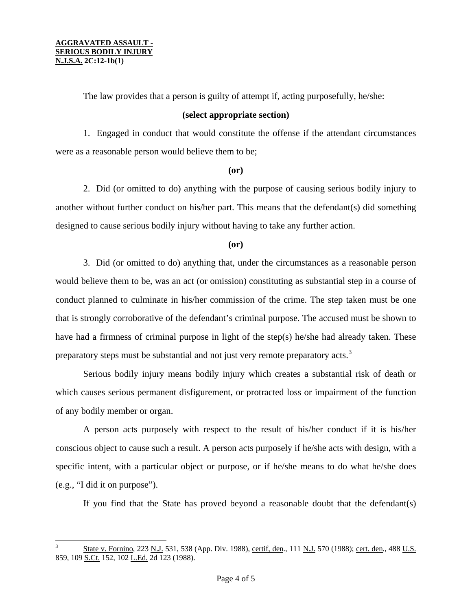$\overline{a}$ 

The law provides that a person is guilty of attempt if, acting purposefully, he/she:

#### **(select appropriate section)**

 1. Engaged in conduct that would constitute the offense if the attendant circumstances were as a reasonable person would believe them to be;

#### **(or)**

 2. Did (or omitted to do) anything with the purpose of causing serious bodily injury to another without further conduct on his/her part. This means that the defendant(s) did something designed to cause serious bodily injury without having to take any further action.

### **(or)**

 3. Did (or omitted to do) anything that, under the circumstances as a reasonable person would believe them to be, was an act (or omission) constituting as substantial step in a course of conduct planned to culminate in his/her commission of the crime. The step taken must be one that is strongly corroborative of the defendant's criminal purpose. The accused must be shown to have had a firmness of criminal purpose in light of the step(s) he/she had already taken. These preparatory steps must be substantial and not just very remote preparatory acts.<sup>[3](#page-2-0)</sup>

 Serious bodily injury means bodily injury which creates a substantial risk of death or which causes serious permanent disfigurement, or protracted loss or impairment of the function of any bodily member or organ.

<span id="page-3-0"></span> A person acts purposely with respect to the result of his/her conduct if it is his/her conscious object to cause such a result. A person acts purposely if he/she acts with design, with a specific intent, with a particular object or purpose, or if he/she means to do what he/she does (e.g., "I did it on purpose").

If you find that the State has proved beyond a reasonable doubt that the defendant(s)

<sup>3</sup> State v. Fornino, 223 N.J. 531, 538 (App. Div. 1988), certif, den., 111 N.J. 570 (1988); cert. den., 488 U.S. 859, 109 S.Ct. 152, 102 L.Ed. 2d 123 (1988).